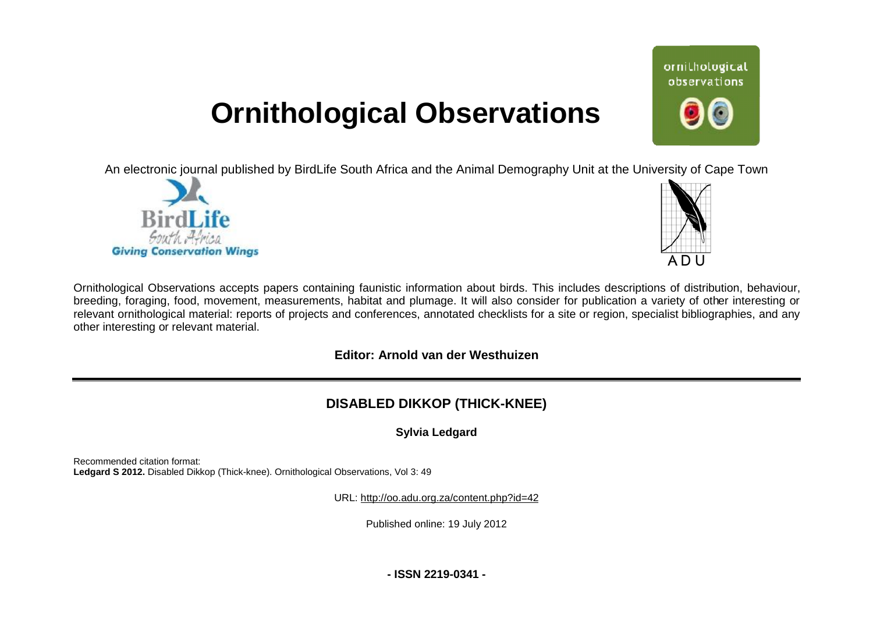# **Ornithological Observations**

An electronic journal published by BirdLife South Africa and the Animal Demography Unit at the University of Cape Town





ornithological observations

Ornithological Observations accepts papers containing faunistic information about birds. This includes descriptions of distribution, behaviour, breeding, foraging, food, movement, measurements, habitat and plumage. It will also consider for publication a variety of other interesting or relevant ornithological material: reports of projects and conferences, annotated checklists for a site or region, specialist bibliographies, and any other interesting or relevant material.

### **Editor: Arnold van der Westhuizen**

## **DISABLED DIKKOP (THICK-KNEE)**

### **Sylvia Ledgard**

Recommended citation format: Ledgard S 2012. Disabled Dikkop (Thick-knee). Ornithological Observations, Vol 3: 49

URL: <http://oo.adu.org.za/content.php?id=42>

Published online: 19 July 2012